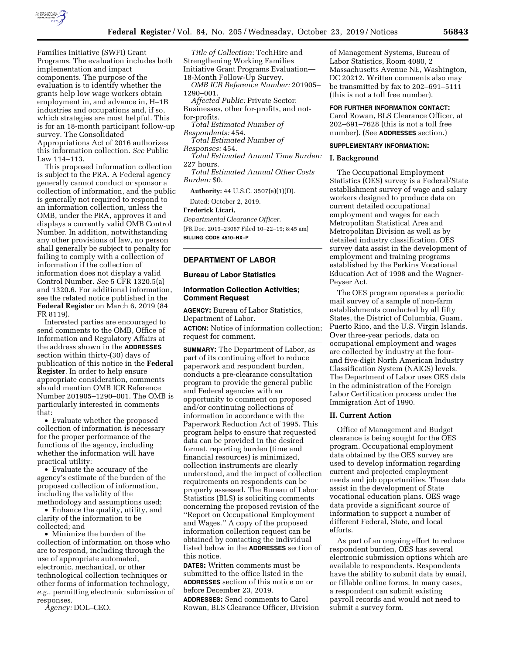

Families Initiative (SWFI) Grant Programs. The evaluation includes both implementation and impact components. The purpose of the evaluation is to identify whether the grants help low wage workers obtain employment in, and advance in, H–1B industries and occupations and, if so, which strategies are most helpful. This is for an 18-month participant follow-up survey. The Consolidated Appropriations Act of 2016 authorizes this information collection. *See* Public Law 114–113.

This proposed information collection is subject to the PRA. A Federal agency generally cannot conduct or sponsor a collection of information, and the public is generally not required to respond to an information collection, unless the OMB, under the PRA, approves it and displays a currently valid OMB Control Number. In addition, notwithstanding any other provisions of law, no person shall generally be subject to penalty for failing to comply with a collection of information if the collection of information does not display a valid Control Number. *See* 5 CFR 1320.5(a) and 1320.6. For additional information, see the related notice published in the **Federal Register** on March 6, 2019 (84 FR 8119).

Interested parties are encouraged to send comments to the OMB, Office of Information and Regulatory Affairs at the address shown in the **ADDRESSES** section within thirty-(30) days of publication of this notice in the **Federal Register**. In order to help ensure appropriate consideration, comments should mention OMB ICR Reference Number 201905–1290–001. The OMB is particularly interested in comments that:

• Evaluate whether the proposed collection of information is necessary for the proper performance of the functions of the agency, including whether the information will have practical utility:

• Evaluate the accuracy of the agency's estimate of the burden of the proposed collection of information, including the validity of the methodology and assumptions used;

• Enhance the quality, utility, and clarity of the information to be collected; and

• Minimize the burden of the collection of information on those who are to respond, including through the use of appropriate automated, electronic, mechanical, or other technological collection techniques or other forms of information technology, *e.g.,* permitting electronic submission of responses.

*Agency:* DOL–CEO.

*Title of Collection:* TechHire and Strengthening Working Families Initiative Grant Programs Evaluation— 18-Month Follow-Up Survey.

*OMB ICR Reference Number:* 201905– 1290–001.

*Affected Public:* Private Sector: Businesses, other for-profits, and notfor-profits.

*Total Estimated Number of* 

*Respondents:* 454. *Total Estimated Number of* 

*Responses:* 454.

*Total Estimated Annual Time Burden:*  227 hours.

*Total Estimated Annual Other Costs Burden:* \$0.

**Authority:** 44 U.S.C. 3507(a)(1)(D).

Dated: October 2, 2019. **Frederick Licari,** 

*Departmental Clearance Officer.*  [FR Doc. 2019–23067 Filed 10–22–19; 8:45 am] **BILLING CODE 4510–HX–P** 

## **DEPARTMENT OF LABOR**

## **Bureau of Labor Statistics**

## **Information Collection Activities; Comment Request**

**AGENCY:** Bureau of Labor Statistics, Department of Labor. **ACTION:** Notice of information collection;

request for comment.

**SUMMARY:** The Department of Labor, as part of its continuing effort to reduce paperwork and respondent burden, conducts a pre-clearance consultation program to provide the general public and Federal agencies with an opportunity to comment on proposed and/or continuing collections of information in accordance with the Paperwork Reduction Act of 1995. This program helps to ensure that requested data can be provided in the desired format, reporting burden (time and financial resources) is minimized, collection instruments are clearly understood, and the impact of collection requirements on respondents can be properly assessed. The Bureau of Labor Statistics (BLS) is soliciting comments concerning the proposed revision of the ''Report on Occupational Employment and Wages.'' A copy of the proposed information collection request can be obtained by contacting the individual listed below in the **ADDRESSES** section of this notice.

**DATES:** Written comments must be submitted to the office listed in the **ADDRESSES** section of this notice on or before December 23, 2019.

**ADDRESSES:** Send comments to Carol Rowan, BLS Clearance Officer, Division

of Management Systems, Bureau of Labor Statistics, Room 4080, 2 Massachusetts Avenue NE, Washington, DC 20212. Written comments also may be transmitted by fax to 202–691–5111 (this is not a toll free number).

## **FOR FURTHER INFORMATION CONTACT:**

Carol Rowan, BLS Clearance Officer, at 202–691–7628 (this is not a toll free number). (See **ADDRESSES** section.)

### **SUPPLEMENTARY INFORMATION:**

### **I. Background**

The Occupational Employment Statistics (OES) survey is a Federal/State establishment survey of wage and salary workers designed to produce data on current detailed occupational employment and wages for each Metropolitan Statistical Area and Metropolitan Division as well as by detailed industry classification. OES survey data assist in the development of employment and training programs established by the Perkins Vocational Education Act of 1998 and the Wagner-Peyser Act.

The OES program operates a periodic mail survey of a sample of non-farm establishments conducted by all fifty States, the District of Columbia, Guam, Puerto Rico, and the U.S. Virgin Islands. Over three-year periods, data on occupational employment and wages are collected by industry at the fourand five-digit North American Industry Classification System (NAICS) levels. The Department of Labor uses OES data in the administration of the Foreign Labor Certification process under the Immigration Act of 1990.

#### **II. Current Action**

Office of Management and Budget clearance is being sought for the OES program. Occupational employment data obtained by the OES survey are used to develop information regarding current and projected employment needs and job opportunities. These data assist in the development of State vocational education plans. OES wage data provide a significant source of information to support a number of different Federal, State, and local efforts.

As part of an ongoing effort to reduce respondent burden, OES has several electronic submission options which are available to respondents. Respondents have the ability to submit data by email, or fillable online forms. In many cases, a respondent can submit existing payroll records and would not need to submit a survey form.